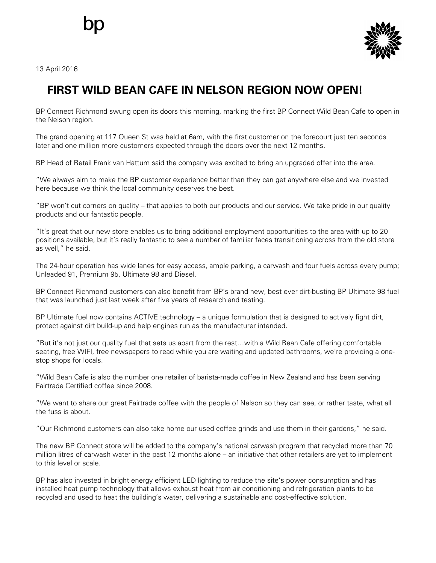

13 April 2016

## **FIRST WILD BEAN CAFE IN NELSON REGION NOW OPEN!**

BP Connect Richmond swung open its doors this morning, marking the first BP Connect Wild Bean Cafe to open in the Nelson region.

The grand opening at 117 Queen St was held at 6am, with the first customer on the forecourt just ten seconds later and one million more customers expected through the doors over the next 12 months.

BP Head of Retail Frank van Hattum said the company was excited to bring an upgraded offer into the area.

"We always aim to make the BP customer experience better than they can get anywhere else and we invested here because we think the local community deserves the best.

"BP won't cut corners on quality – that applies to both our products and our service. We take pride in our quality products and our fantastic people.

"It's great that our new store enables us to bring additional employment opportunities to the area with up to 20 positions available, but it's really fantastic to see a number of familiar faces transitioning across from the old store as well," he said.

The 24-hour operation has wide lanes for easy access, ample parking, a carwash and four fuels across every pump; Unleaded 91, Premium 95, Ultimate 98 and Diesel.

BP Connect Richmond customers can also benefit from BP's brand new, best ever dirt-busting BP Ultimate 98 fuel that was launched just last week after five years of research and testing.

BP Ultimate fuel now contains ACTIVE technology – a unique formulation that is designed to actively fight dirt, protect against dirt build-up and help engines run as the manufacturer intended.

"But it's not just our quality fuel that sets us apart from the rest…with a Wild Bean Cafe offering comfortable seating, free WIFI, free newspapers to read while you are waiting and updated bathrooms, we're providing a onestop shops for locals.

"Wild Bean Cafe is also the number one retailer of barista-made coffee in New Zealand and has been serving Fairtrade Certified coffee since 2008.

"We want to share our great Fairtrade coffee with the people of Nelson so they can see, or rather taste, what all the fuss is about.

"Our Richmond customers can also take home our used coffee grinds and use them in their gardens," he said.

The new BP Connect store will be added to the company's national carwash program that recycled more than 70 million litres of carwash water in the past 12 months alone – an initiative that other retailers are yet to implement to this level or scale.

BP has also invested in bright energy efficient LED lighting to reduce the site's power consumption and has installed heat pump technology that allows exhaust heat from air conditioning and refrigeration plants to be recycled and used to heat the building's water, delivering a sustainable and cost-effective solution.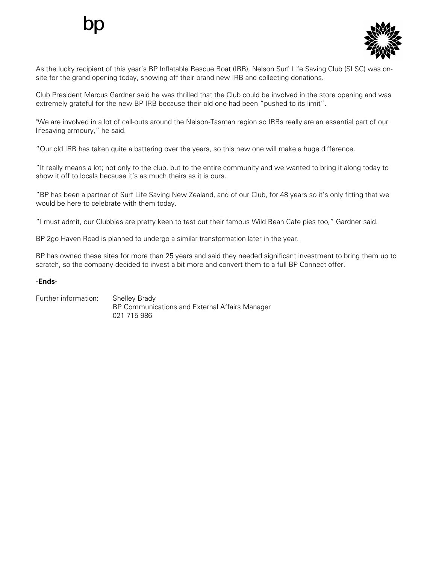

As the lucky recipient of this year's BP Inflatable Rescue Boat (IRB), Nelson Surf Life Saving Club (SLSC) was onsite for the grand opening today, showing off their brand new IRB and collecting donations.

Club President Marcus Gardner said he was thrilled that the Club could be involved in the store opening and was extremely grateful for the new BP IRB because their old one had been "pushed to its limit".

"We are involved in a lot of call-outs around the Nelson-Tasman region so IRBs really are an essential part of our lifesaving armoury," he said.

"Our old IRB has taken quite a battering over the years, so this new one will make a huge difference.

"It really means a lot; not only to the club, but to the entire community and we wanted to bring it along today to show it off to locals because it's as much theirs as it is ours.

"BP has been a partner of Surf Life Saving New Zealand, and of our Club, for 48 years so it's only fitting that we would be here to celebrate with them today.

"I must admit, our Clubbies are pretty keen to test out their famous Wild Bean Cafe pies too," Gardner said.

BP 2go Haven Road is planned to undergo a similar transformation later in the year.

BP has owned these sites for more than 25 years and said they needed significant investment to bring them up to scratch, so the company decided to invest a bit more and convert them to a full BP Connect offer.

## **-Ends-**

Further information: Shelley Brady BP Communications and External Affairs Manager 021 715 986